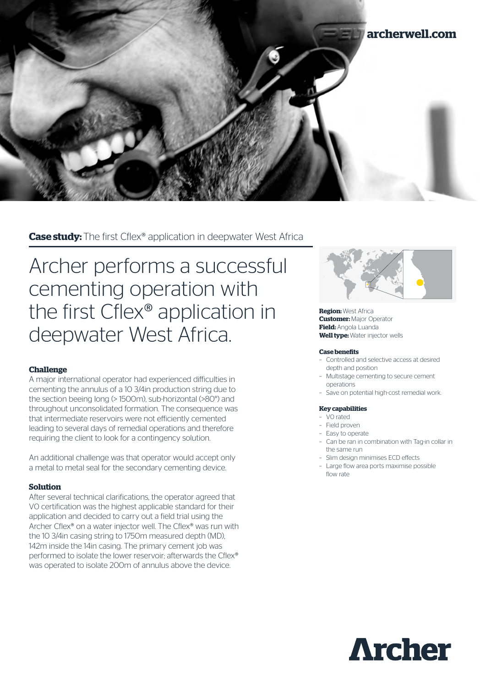

**Case study:** The first Cflex® application in deepwater West Africa

Archer performs a successful cementing operation with the first Cflex® application in deepwater West Africa.

# **Challenge**

A major international operator had experienced difficulties in cementing the annulus of a 10 3/4in production string due to the section beeing long (> 1500m), sub-horizontal (>80°) and throughout unconsolidated formation. The consequence was that intermediate reservoirs were not efficiently cemented leading to several days of remedial operations and therefore requiring the client to look for a contingency solution.

An additional challenge was that operator would accept only a metal to metal seal for the secondary cementing device.

# **Solution**

After several technical clarifications, the operator agreed that V0 certification was the highest applicable standard for their application and decided to carry out a field trial using the Archer Cflex<sup>®</sup> on a water injector well. The Cflex<sup>®</sup> was run with the 10 3/4in casing string to 1750m measured depth (MD), 142m inside the 14in casing. The primary cement job was performed to isolate the lower reservoir; afterwards the Cflex® was operated to isolate 200m of annulus above the device.



**Region:** West Africa **Customer:** Major Operator **Field:** Angola Luanda **Well type:** Water injector wells

### **Case benefits**

- Controlled and selective access at desired depth and position
- Multistage cementing to secure cement operations
- Save on potential high-cost remedial work.

#### **Key capabilities**

- V0 rated
- Field proven
- Easy to operate
- Can be ran in combination with Tag-in collar in the same run
- Slim design minimises ECD effects
- Large flow area ports maximise possible flow rate